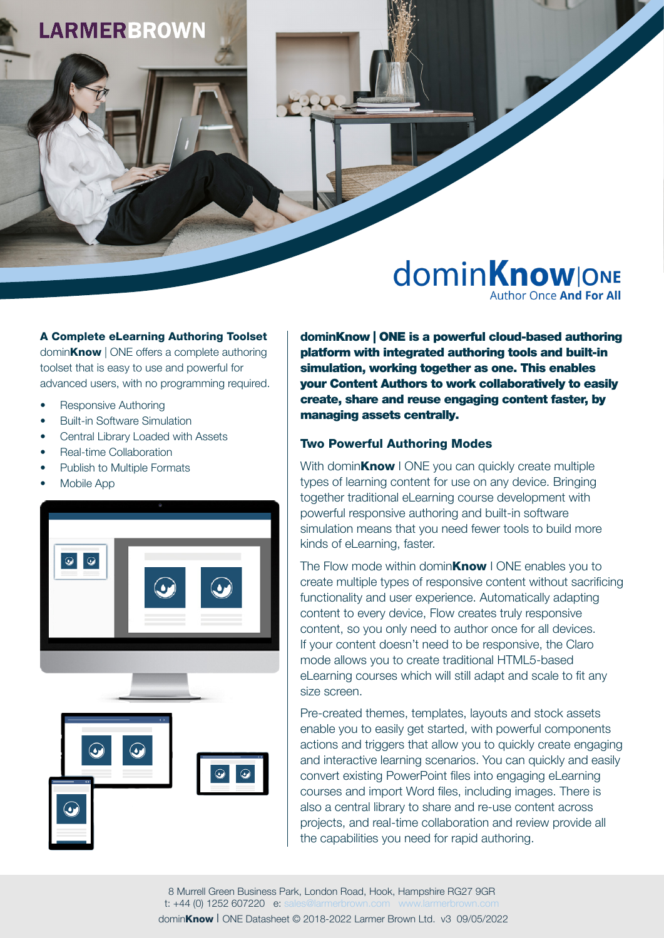# **LARMERBROWN**

## **dominKnowlONE Author Once And For All**

A Complete eLearning Authoring Toolset domin**Know** | ONE offers a complete authoring toolset that is easy to use and powerful for advanced users, with no programming required.

- Responsive Authoring
- Built-in Software Simulation
- Central Library Loaded with Assets
- Real-time Collaboration
- Publish to Multiple Formats
- Mobile App



dominKnow | ONE is a powerful cloud-based authoring platform with integrated authoring tools and built-in simulation, working together as one. This enables your Content Authors to work collaboratively to easily create, share and reuse engaging content faster, by managing assets centrally.

#### Two Powerful Authoring Modes

With domin**Know** I ONE you can quickly create multiple types of learning content for use on any device. Bringing together traditional eLearning course development with powerful responsive authoring and built-in software simulation means that you need fewer tools to build more kinds of eLearning, faster.

The Flow mode within domin $Know$  I ONE enables you to create multiple types of responsive content without sacrificing functionality and user experience. Automatically adapting content to every device, Flow creates truly responsive content, so you only need to author once for all devices. If your content doesn't need to be responsive, the Claro mode allows you to create traditional HTML5-based eLearning courses which will still adapt and scale to fit any size screen.

Pre-created themes, templates, layouts and stock assets enable you to easily get started, with powerful components actions and triggers that allow you to quickly create engaging and interactive learning scenarios. You can quickly and easily convert existing PowerPoint files into engaging eLearning courses and import Word files, including images. There is also a central library to share and re-use content across projects, and real-time collaboration and review provide all the capabilities you need for rapid authoring.

8 Murrell Green Business Park, London Road, Hook, Hampshire RG27 9GR t: +44 (0) 1252 607220 e: [sales@larmerbrown.com](mailto:sales%40larmerbrown.com?subject=) [www.larmerbrown.com](http://www.larmerbrown.com) dominKnow I ONE Datasheet © 2018-2022 Larmer Brown Ltd. v3 09/05/2022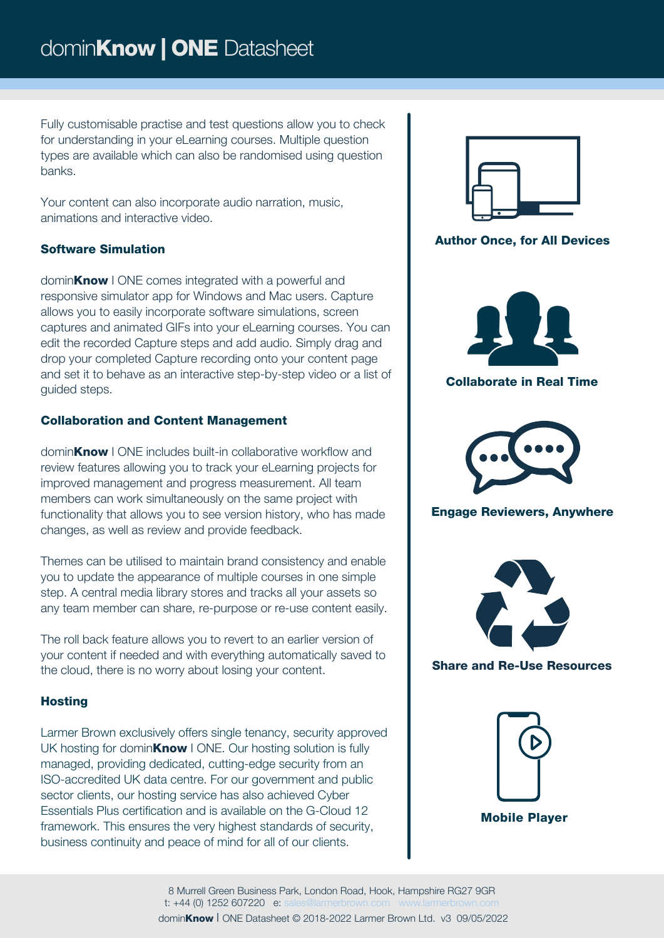Fully customisable practise and test questions allow you to check for understanding in your eLearning courses. Multiple question types are available which can also be randomised using question banks.

Your content can also incorporate audio narration, music, animations and interactive video.

## Software Simulation

domin**Know** I ONE comes integrated with a powerful and responsive simulator app for Windows and Mac users. Capture allows you to easily incorporate software simulations, screen captures and animated GIFs into your eLearning courses. You can edit the recorded Capture steps and add audio. Simply drag and drop your completed Capture recording onto your content page and set it to behave as an interactive step-by-step video or a list of guided steps.

#### Collaboration and Content Management

dominKnow I ONE includes built-in collaborative workflow and review features allowing you to track your eLearning projects for improved management and progress measurement. All team members can work simultaneously on the same project with functionality that allows you to see version history, who has made changes, as well as review and provide feedback.

Themes can be utilised to maintain brand consistency and enable you to update the appearance of multiple courses in one simple step. A central media library stores and tracks all your assets so any team member can share, re-purpose or re-use content easily.

The roll back feature allows you to revert to an earlier version of your content if needed and with everything automatically saved to the cloud, there is no worry about losing your content.

### **Hosting**

Larmer Brown exclusively offers single tenancy, security approved UK hosting for domin**Know** I ONE. Our hosting solution is fully managed, providing dedicated, cutting-edge security from an ISO-accredited UK data centre. For our government and public sector clients, our hosting service has also achieved Cyber Essentials Plus certification and is available on the G-Cloud 12 framework. This ensures the very highest standards of security, business continuity and peace of mind for all of our clients.



Author Once, for All Devices



Collaborate in Real Time



Engage Reviewers, Anywhere



Share and Re-Use Resources